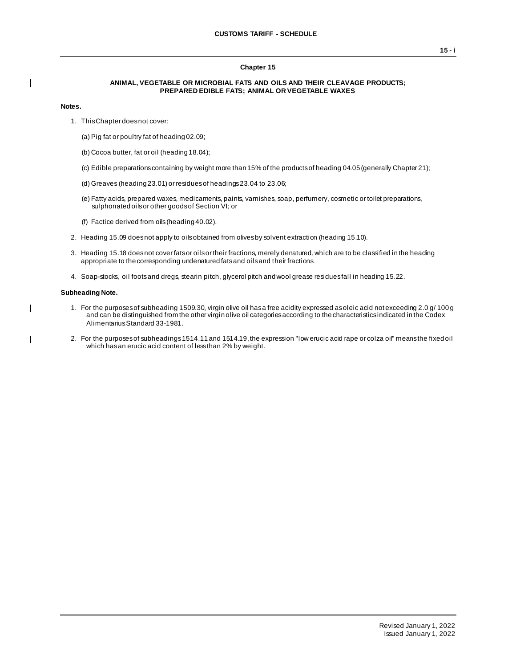### **Chapter 15**

### **ANIMAL, VEGETABLE OR MICROBIAL FATS AND OILS AND THEIR CLEAVAGE PRODUCTS; PREPARED EDIBLE FATS; ANIMAL OR VEGETABLE WAXES**

#### **Notes.**

 $\overline{1}$ 

 $\mathbf{I}$ 

- 1. This Chapter does not cover:
	- (a) Pig fat or poultry fat of heading 02.09;
	- (b) Cocoa butter, fat or oil (heading 18.04);
	- (c) Edible preparations containing by weight more than 15% of the products of heading 04.05 (generally Chapter 21);
	- (d) Greaves (heading 23.01) or residues of headings 23.04 to 23.06;
	- (e) Fatty acids, prepared waxes, medicaments, paints, varnishes, soap, perfumery, cosmetic or toilet preparations, sulphonated oils or other goods of Section VI; or
	- (f) Factice derived from oils (heading 40.02).
- 2. Heading 15.09 does not apply to oils obtained from olives by solvent extraction (heading 15.10).
- 3. Heading 15.18 does not cover fats or oils or their fractions, merely denatured, which are to be classified in the heading appropriate to the corresponding undenatured fats and oils and their fractions.
- 4. Soap-stocks, oil foots and dregs, stearin pitch, glycerol pitch and wool grease residues fall in heading 15.22.

### **Subheading Note.**

- 1. For the purposes of subheading 1509.30, virgin olive oil has a free acidity expressed as oleic acid not exceeding 2.0 g/ 100 g and can be distinguished from the other virgin olive oil categories according to the characteristics indicated in the Codex Alimentarius Standard 33-1981.
- 2. For the purposes of subheadings 1514.11 and 1514.19, the expression "low erucic acid rape or colza oil" means the fixed oil which has an erucic acid content of less than 2% by weight.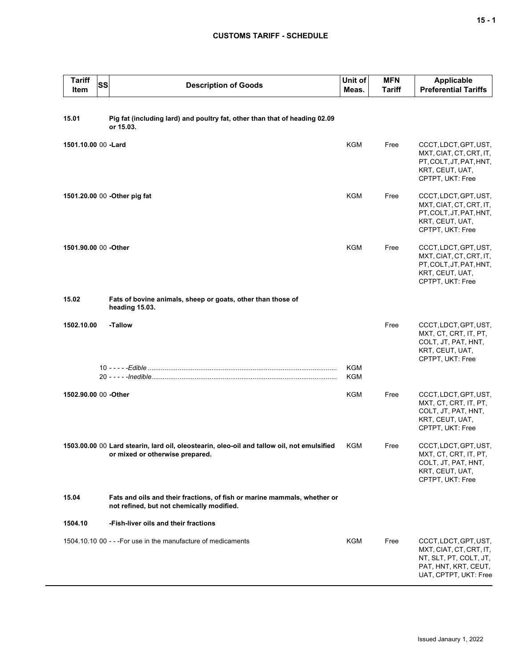# **CUSTOMS TARIFF - SCHEDULE**

| <b>Tariff</b><br>Item | SS | <b>Description of Goods</b>                                                                                                   | Unit of<br>Meas. | <b>MFN</b><br>Tariff | <b>Applicable</b><br><b>Preferential Tariffs</b>                                                                            |
|-----------------------|----|-------------------------------------------------------------------------------------------------------------------------------|------------------|----------------------|-----------------------------------------------------------------------------------------------------------------------------|
| 15.01                 |    | Pig fat (including lard) and poultry fat, other than that of heading 02.09<br>or 15.03.                                       |                  |                      |                                                                                                                             |
| 1501.10.00 00 -Lard   |    |                                                                                                                               | <b>KGM</b>       | Free                 | CCCT, LDCT, GPT, UST,<br>MXT, CIAT, CT, CRT, IT,<br>PT, COLT, JT, PAT, HNT,<br>KRT, CEUT, UAT,<br>CPTPT, UKT: Free          |
|                       |    | 1501.20.00 00 - Other pig fat                                                                                                 | <b>KGM</b>       | Free                 | CCCT, LDCT, GPT, UST,<br>MXT, CIAT, CT, CRT, IT,<br>PT, COLT, JT, PAT, HNT,<br>KRT, CEUT, UAT,<br>CPTPT, UKT: Free          |
| 1501.90.00 00 -Other  |    |                                                                                                                               | KGM              | Free                 | CCCT, LDCT, GPT, UST,<br>MXT, CIAT, CT, CRT, IT,<br>PT, COLT, JT, PAT, HNT,<br>KRT, CEUT, UAT,<br>CPTPT, UKT: Free          |
| 15.02                 |    | Fats of bovine animals, sheep or goats, other than those of<br>heading 15.03.                                                 |                  |                      |                                                                                                                             |
| 1502.10.00            |    | -Tallow                                                                                                                       |                  | Free                 | CCCT, LDCT, GPT, UST,<br>MXT, CT, CRT, IT, PT,<br>COLT, JT, PAT, HNT,<br>KRT, CEUT, UAT,<br>CPTPT, UKT: Free                |
|                       |    |                                                                                                                               | KGM<br>KGM       |                      |                                                                                                                             |
| 1502.90.00 00 -Other  |    |                                                                                                                               | KGM              | Free                 | CCCT, LDCT, GPT, UST,<br>MXT, CT, CRT, IT, PT,<br>COLT, JT, PAT, HNT,<br>KRT, CEUT, UAT,<br>CPTPT, UKT: Free                |
|                       |    | 1503.00.00 00 Lard stearin, lard oil, oleostearin, oleo-oil and tallow oil, not emulsified<br>or mixed or otherwise prepared. | KGM              | Free                 | CCCT, LDCT, GPT, UST,<br>MXT, CT, CRT, IT, PT,<br>COLT, JT, PAT, HNT,<br>KRT, CEUT, UAT,<br>CPTPT, UKT: Free                |
| 15.04                 |    | Fats and oils and their fractions, of fish or marine mammals, whether or<br>not refined, but not chemically modified.         |                  |                      |                                                                                                                             |
| 1504.10               |    | -Fish-liver oils and their fractions                                                                                          |                  |                      |                                                                                                                             |
|                       |    | 1504.10.10 00 - - - For use in the manufacture of medicaments                                                                 | KGM              | Free                 | CCCT, LDCT, GPT, UST,<br>MXT, CIAT, CT, CRT, IT,<br>NT, SLT, PT, COLT, JT,<br>PAT, HNT, KRT, CEUT,<br>UAT, CPTPT, UKT: Free |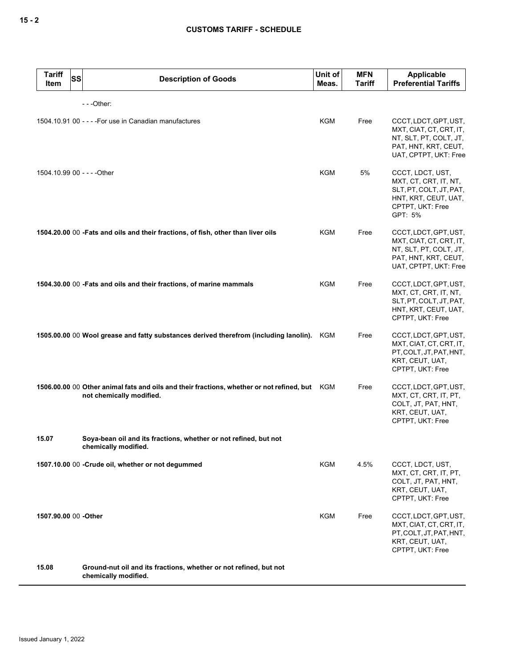| <b>Tariff</b><br><b>SS</b><br>Item | <b>Description of Goods</b>                                                                                               | Unit of<br>Meas. | <b>MFN</b><br><b>Tariff</b> | <b>Applicable</b><br><b>Preferential Tariffs</b>                                                                            |
|------------------------------------|---------------------------------------------------------------------------------------------------------------------------|------------------|-----------------------------|-----------------------------------------------------------------------------------------------------------------------------|
|                                    | $--$ Other:                                                                                                               |                  |                             |                                                                                                                             |
|                                    | 1504.10.91 00 - - - - For use in Canadian manufactures                                                                    | <b>KGM</b>       | Free                        | CCCT, LDCT, GPT, UST,<br>MXT, CIAT, CT, CRT, IT,<br>NT, SLT, PT, COLT, JT,<br>PAT, HNT, KRT, CEUT,<br>UAT, CPTPT, UKT: Free |
| 1504.10.99 00 - - - - Other        |                                                                                                                           | KGM              | 5%                          | CCCT, LDCT, UST,<br>MXT, CT, CRT, IT, NT,<br>SLT, PT, COLT, JT, PAT,<br>HNT, KRT, CEUT, UAT,<br>CPTPT, UKT: Free<br>GPT: 5% |
|                                    | 1504.20.00 00 -Fats and oils and their fractions, of fish, other than liver oils                                          | KGM              | Free                        | CCCT, LDCT, GPT, UST,<br>MXT, CIAT, CT, CRT, IT,<br>NT, SLT, PT, COLT, JT,<br>PAT, HNT, KRT, CEUT,<br>UAT, CPTPT, UKT: Free |
|                                    | 1504.30.00 00 - Fats and oils and their fractions, of marine mammals                                                      | KGM              | Free                        | CCCT, LDCT, GPT, UST,<br>MXT, CT, CRT, IT, NT,<br>SLT, PT, COLT, JT, PAT,<br>HNT, KRT, CEUT, UAT,<br>CPTPT, UKT: Free       |
|                                    | 1505.00.00 00 Wool grease and fatty substances derived therefrom (including lanolin).                                     | KGM              | Free                        | CCCT, LDCT, GPT, UST,<br>MXT, CIAT, CT, CRT, IT,<br>PT, COLT, JT, PAT, HNT,<br>KRT, CEUT, UAT,<br>CPTPT, UKT: Free          |
|                                    | 1506.00.00 00 Other animal fats and oils and their fractions, whether or not refined, but KGM<br>not chemically modified. |                  | Free                        | CCCT, LDCT, GPT, UST,<br>MXT, CT, CRT, IT, PT,<br>COLT, JT, PAT, HNT,<br>KRT, CEUT, UAT,<br>CPTPT, UKT: Free                |
| 15.07                              | Soya-bean oil and its fractions, whether or not refined, but not<br>chemically modified.                                  |                  |                             |                                                                                                                             |
|                                    | 1507.10.00 00 - Crude oil, whether or not degummed                                                                        | KGM              | 4.5%                        | CCCT, LDCT, UST,<br>MXT, CT, CRT, IT, PT,<br>COLT, JT, PAT, HNT,<br>KRT, CEUT, UAT,<br>CPTPT, UKT: Free                     |
| 1507.90.00 00 -Other               |                                                                                                                           | KGM              | Free                        | CCCT, LDCT, GPT, UST,<br>MXT, CIAT, CT, CRT, IT,<br>PT, COLT, JT, PAT, HNT,<br>KRT, CEUT, UAT,<br>CPTPT, UKT: Free          |
| 15.08                              | Ground-nut oil and its fractions, whether or not refined, but not<br>chemically modified.                                 |                  |                             |                                                                                                                             |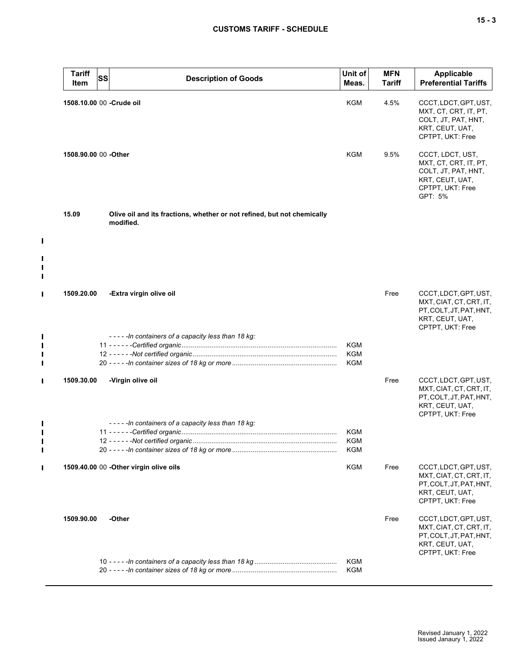|   | <b>Tariff</b><br>Item     | SS | <b>Description of Goods</b>                                                          | Unit of<br>Meas.  | <b>MFN</b><br><b>Tariff</b> | <b>Applicable</b><br><b>Preferential Tariffs</b>                                                                   |
|---|---------------------------|----|--------------------------------------------------------------------------------------|-------------------|-----------------------------|--------------------------------------------------------------------------------------------------------------------|
|   | 1508.10.00 00 - Crude oil |    |                                                                                      | KGM               | 4.5%                        | CCCT, LDCT, GPT, UST,<br>MXT, CT, CRT, IT, PT,<br>COLT, JT, PAT, HNT,<br>KRT, CEUT, UAT,<br>CPTPT, UKT: Free       |
|   | 1508.90.00 00 - Other     |    |                                                                                      | KGM               | 9.5%                        | CCCT, LDCT, UST,<br>MXT, CT, CRT, IT, PT,<br>COLT, JT, PAT, HNT,<br>KRT, CEUT, UAT,<br>CPTPT, UKT: Free<br>GPT: 5% |
|   | 15.09                     |    | Olive oil and its fractions, whether or not refined, but not chemically<br>modified. |                   |                             |                                                                                                                    |
|   |                           |    |                                                                                      |                   |                             |                                                                                                                    |
| I | 1509.20.00                |    | -Extra virgin olive oil                                                              |                   | Free                        | CCCT, LDCT, GPT, UST,<br>MXT, CIAT, CT, CRT, IT,<br>PT, COLT, JT, PAT, HNT,<br>KRT, CEUT, UAT,<br>CPTPT, UKT: Free |
|   |                           |    | -----In containers of a capacity less than 18 kg:                                    | KGM<br>KGM<br>KGM |                             |                                                                                                                    |
|   | 1509.30.00                |    | -Virgin olive oil                                                                    |                   | Free                        | CCCT, LDCT, GPT, UST,<br>MXT, CIAT, CT, CRT, IT,<br>PT, COLT, JT, PAT, HNT,<br>KRT, CEUT, UAT,<br>CPTPT, UKT: Free |
|   |                           |    | -----In containers of a capacity less than 18 kg:                                    | KGM<br>KGM<br>KGM |                             |                                                                                                                    |
|   |                           |    | 1509.40.00 00 -Other virgin olive oils                                               | <b>KGM</b>        | Free                        | CCCT, LDCT, GPT, UST,<br>MXT, CIAT, CT, CRT, IT,<br>PT, COLT, JT, PAT, HNT,<br>KRT, CEUT, UAT,<br>CPTPT, UKT: Free |
|   | 1509.90.00                |    | -Other                                                                               |                   | Free                        | CCCT, LDCT, GPT, UST,<br>MXT, CIAT, CT, CRT, IT,<br>PT, COLT, JT, PAT, HNT,<br>KRT, CEUT, UAT,<br>CPTPT, UKT: Free |
|   |                           |    |                                                                                      | KGM<br>KGM        |                             |                                                                                                                    |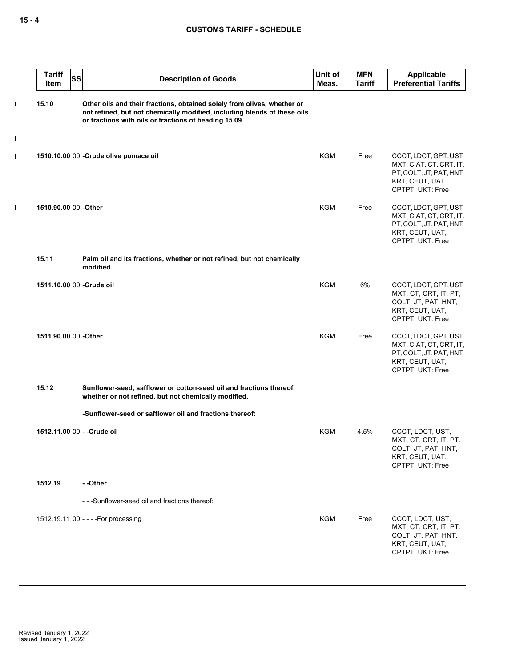|                               | <b>Tariff</b><br><b>SS</b><br>Item | <b>Description of Goods</b>                                                                                                                                                                                  | Unit of<br>Meas. | <b>MFN</b><br><b>Tariff</b> | <b>Applicable</b><br><b>Preferential Tariffs</b>                                                                   |
|-------------------------------|------------------------------------|--------------------------------------------------------------------------------------------------------------------------------------------------------------------------------------------------------------|------------------|-----------------------------|--------------------------------------------------------------------------------------------------------------------|
| $\blacksquare$<br>$\mathbf I$ | 15.10                              | Other oils and their fractions, obtained solely from olives, whether or<br>not refined, but not chemically modified, including blends of these oils<br>or fractions with oils or fractions of heading 15.09. |                  |                             |                                                                                                                    |
| $\blacksquare$                |                                    | 1510.10.00 00 -Crude olive pomace oil                                                                                                                                                                        | KGM              | Free                        | CCCT, LDCT, GPT, UST,<br>MXT, CIAT, CT, CRT, IT,<br>PT, COLT, JT, PAT, HNT,<br>KRT, CEUT, UAT,<br>CPTPT, UKT: Free |
| $\blacksquare$                | 1510.90.00 00 - Other              |                                                                                                                                                                                                              | <b>KGM</b>       | Free                        | CCCT, LDCT, GPT, UST,<br>MXT, CIAT, CT, CRT, IT,<br>PT, COLT, JT, PAT, HNT,<br>KRT, CEUT, UAT,<br>CPTPT, UKT: Free |
|                               | 15.11                              | Palm oil and its fractions, whether or not refined, but not chemically<br>modified.                                                                                                                          |                  |                             |                                                                                                                    |
|                               | 1511.10.00 00 - Crude oil          |                                                                                                                                                                                                              | <b>KGM</b>       | 6%                          | CCCT, LDCT, GPT, UST,<br>MXT, CT, CRT, IT, PT,<br>COLT, JT, PAT, HNT,<br>KRT, CEUT, UAT,<br>CPTPT, UKT: Free       |
|                               | 1511.90.00 00 -Other               |                                                                                                                                                                                                              | <b>KGM</b>       | Free                        | CCCT, LDCT, GPT, UST,<br>MXT, CIAT, CT, CRT, IT,<br>PT, COLT, JT, PAT, HNT,<br>KRT, CEUT, UAT,<br>CPTPT, UKT: Free |
|                               | 15.12                              | Sunflower-seed, safflower or cotton-seed oil and fractions thereof,<br>whether or not refined, but not chemically modified.                                                                                  |                  |                             |                                                                                                                    |
|                               |                                    | -Sunflower-seed or safflower oil and fractions thereof:                                                                                                                                                      |                  |                             |                                                                                                                    |
|                               | 1512.11.00 00 - - Crude oil        |                                                                                                                                                                                                              | <b>KGM</b>       | 4.5%                        | CCCT, LDCT, UST,<br>MXT, CT, CRT, IT, PT,<br>COLT, JT, PAT, HNT,<br>KRT, CEUT, UAT,<br>CPTPT, UKT: Free            |
|                               | 1512.19                            | - -Other                                                                                                                                                                                                     |                  |                             |                                                                                                                    |
|                               |                                    | ---Sunflower-seed oil and fractions thereof:                                                                                                                                                                 |                  |                             |                                                                                                                    |
|                               |                                    | 1512.19.11 00 - - - - For processing                                                                                                                                                                         | KGM              | Free                        | CCCT, LDCT, UST,<br>MXT, CT, CRT, IT, PT,<br>COLT, JT, PAT, HNT,<br>KRT, CEUT, UAT,<br>CPTPT, UKT: Free            |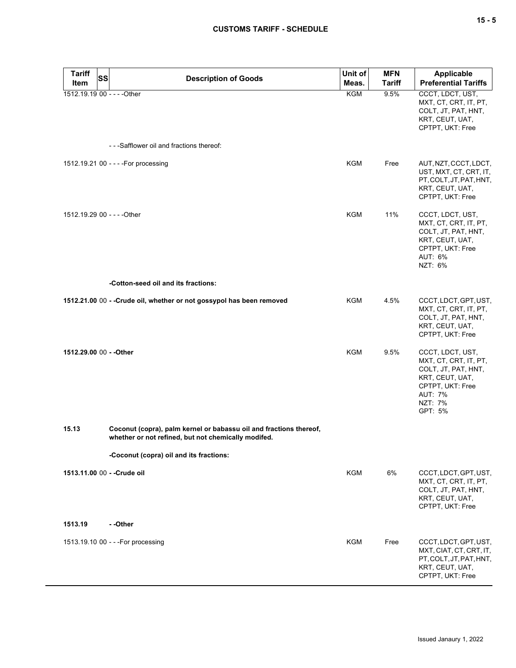| <b>Tariff</b><br>Item       | <b>SS</b><br><b>Description of Goods</b>                                                                                  | Unit of<br>Meas. | <b>MFN</b><br><b>Tariff</b> | <b>Applicable</b><br><b>Preferential Tariffs</b>                                                                                                |
|-----------------------------|---------------------------------------------------------------------------------------------------------------------------|------------------|-----------------------------|-------------------------------------------------------------------------------------------------------------------------------------------------|
| 1512.19.19 00 - - - - Other |                                                                                                                           | KGM              | 9.5%                        | CCCT, LDCT, UST,<br>MXT, CT, CRT, IT, PT,<br>COLT, JT, PAT, HNT,<br>KRT, CEUT, UAT,<br>CPTPT, UKT: Free                                         |
|                             | - - - Safflower oil and fractions thereof:                                                                                |                  |                             |                                                                                                                                                 |
|                             | 1512.19.21 00 - - - - For processing                                                                                      | KGM              | Free                        | AUT, NZT, CCCT, LDCT,<br>UST, MXT, CT, CRT, IT,<br>PT, COLT, JT, PAT, HNT,<br>KRT, CEUT, UAT,<br>CPTPT, UKT: Free                               |
| 1512.19.29 00 - - - - Other |                                                                                                                           | <b>KGM</b>       | 11%                         | CCCT, LDCT, UST,<br>MXT, CT, CRT, IT, PT,<br>COLT, JT, PAT, HNT,<br>KRT, CEUT, UAT,<br>CPTPT, UKT: Free<br>AUT: 6%<br>NZT: 6%                   |
|                             | -Cotton-seed oil and its fractions:                                                                                       |                  |                             |                                                                                                                                                 |
|                             | 1512.21.00 00 - - Crude oil, whether or not gossypol has been removed                                                     | <b>KGM</b>       | 4.5%                        | CCCT, LDCT, GPT, UST,<br>MXT, CT, CRT, IT, PT,<br>COLT, JT, PAT, HNT,<br>KRT, CEUT, UAT,<br>CPTPT, UKT: Free                                    |
| 1512.29.00 00 - - Other     |                                                                                                                           | KGM              | 9.5%                        | CCCT, LDCT, UST,<br>MXT, CT, CRT, IT, PT,<br>COLT, JT, PAT, HNT,<br>KRT, CEUT, UAT,<br>CPTPT, UKT: Free<br><b>AUT: 7%</b><br>NZT: 7%<br>GPT: 5% |
| 15.13                       | Coconut (copra), palm kernel or babassu oil and fractions thereof,<br>whether or not refined, but not chemically modifed. |                  |                             |                                                                                                                                                 |
|                             | -Coconut (copra) oil and its fractions:                                                                                   |                  |                             |                                                                                                                                                 |
|                             | 1513.11.00 00 - - Crude oil                                                                                               | <b>KGM</b>       | 6%                          | CCCT, LDCT, GPT, UST,<br>MXT, CT, CRT, IT, PT,<br>COLT, JT, PAT, HNT,<br>KRT, CEUT, UAT,<br>CPTPT, UKT: Free                                    |
| 1513.19                     | - -Other                                                                                                                  |                  |                             |                                                                                                                                                 |
|                             | 1513.19.10 00 - - - For processing                                                                                        | KGM              | Free                        | CCCT, LDCT, GPT, UST,<br>MXT, CIAT, CT, CRT, IT,<br>PT, COLT, JT, PAT, HNT,<br>KRT, CEUT, UAT,<br>CPTPT, UKT: Free                              |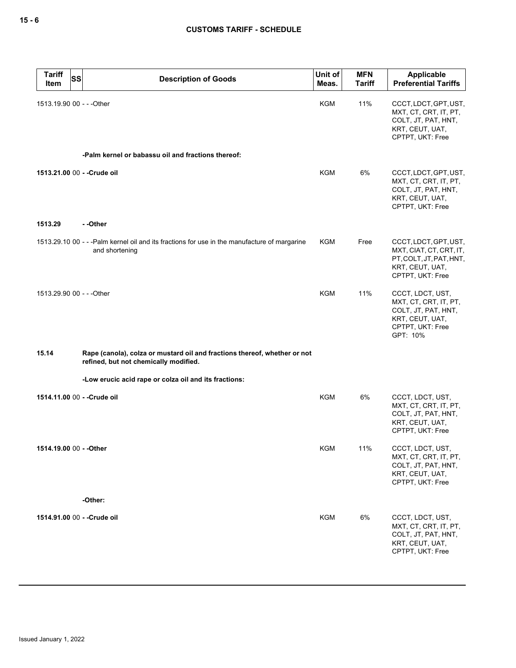| <b>Tariff</b><br><b>SS</b><br>Item | <b>Description of Goods</b>                                                                                        | Unit of<br>Meas. | <b>MFN</b><br><b>Tariff</b> | Applicable<br><b>Preferential Tariffs</b>                                                                           |
|------------------------------------|--------------------------------------------------------------------------------------------------------------------|------------------|-----------------------------|---------------------------------------------------------------------------------------------------------------------|
| 1513.19.90 00 - - - Other          |                                                                                                                    | KGM              | 11%                         | CCCT, LDCT, GPT, UST,<br>MXT, CT, CRT, IT, PT,<br>COLT, JT, PAT, HNT,<br>KRT, CEUT, UAT,<br>CPTPT, UKT: Free        |
|                                    | -Palm kernel or babassu oil and fractions thereof:                                                                 |                  |                             |                                                                                                                     |
| 1513.21.00 00 - - Crude oil        |                                                                                                                    | <b>KGM</b>       | 6%                          | CCCT, LDCT, GPT, UST,<br>MXT, CT, CRT, IT, PT,<br>COLT, JT, PAT, HNT,<br>KRT, CEUT, UAT,<br>CPTPT, UKT: Free        |
| 1513.29                            | - -Other                                                                                                           |                  |                             |                                                                                                                     |
|                                    | 1513.29.10 00 - - - Palm kernel oil and its fractions for use in the manufacture of margarine<br>and shortening    | KGM              | Free                        | CCCT, LDCT, GPT, UST,<br>MXT, CIAT, CT, CRT, IT,<br>PT, COLT, JT, PAT, HNT,<br>KRT, CEUT, UAT,<br>CPTPT, UKT: Free  |
| 1513.29.90 00 - - - Other          |                                                                                                                    | <b>KGM</b>       | 11%                         | CCCT, LDCT, UST,<br>MXT, CT, CRT, IT, PT,<br>COLT, JT, PAT, HNT,<br>KRT, CEUT, UAT,<br>CPTPT, UKT: Free<br>GPT: 10% |
| 15.14                              | Rape (canola), colza or mustard oil and fractions thereof, whether or not<br>refined, but not chemically modified. |                  |                             |                                                                                                                     |
|                                    | -Low erucic acid rape or colza oil and its fractions:                                                              |                  |                             |                                                                                                                     |
| 1514.11.00 00 - - Crude oil        |                                                                                                                    | KGM              | 6%                          | CCCT, LDCT, UST,<br>MXT, CT, CRT, IT, PT,<br>COLT, JT, PAT, HNT,<br>KRT, CEUT, UAT,<br>CPTPT, UKT: Free             |
| 1514.19.00 00 - - Other            |                                                                                                                    | <b>KGM</b>       | 11%                         | CCCT, LDCT, UST,<br>MXT, CT, CRT, IT, PT,<br>COLT, JT, PAT, HNT,<br>KRT, CEUT, UAT,<br>CPTPT, UKT: Free             |
|                                    | -Other:                                                                                                            |                  |                             |                                                                                                                     |
| 1514.91.00 00 - - Crude oil        |                                                                                                                    | <b>KGM</b>       | 6%                          | CCCT, LDCT, UST,<br>MXT, CT, CRT, IT, PT,<br>COLT, JT, PAT, HNT,<br>KRT, CEUT, UAT,<br>CPTPT, UKT: Free             |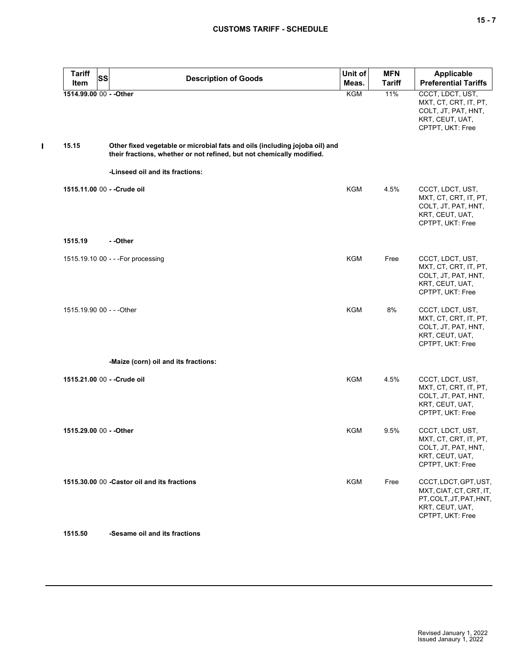| <b>Tariff</b><br><b>SS</b>  | <b>Description of Goods</b>                                                                                                                          | Unit of    | <b>MFN</b>    | <b>Applicable</b>                                                                                                  |
|-----------------------------|------------------------------------------------------------------------------------------------------------------------------------------------------|------------|---------------|--------------------------------------------------------------------------------------------------------------------|
| Item                        |                                                                                                                                                      | Meas.      | <b>Tariff</b> | <b>Preferential Tariffs</b>                                                                                        |
| 1514.99.00 00 - - Other     |                                                                                                                                                      | KGM        | 11%           | CCCT, LDCT, UST,<br>MXT, CT, CRT, IT, PT,<br>COLT, JT, PAT, HNT,<br>KRT, CEUT, UAT,<br>CPTPT, UKT: Free            |
| 15.15                       | Other fixed vegetable or microbial fats and oils (including jojoba oil) and<br>their fractions, whether or not refined, but not chemically modified. |            |               |                                                                                                                    |
|                             | -Linseed oil and its fractions:                                                                                                                      |            |               |                                                                                                                    |
| 1515.11.00 00 - - Crude oil |                                                                                                                                                      | KGM        | 4.5%          | CCCT, LDCT, UST,<br>MXT, CT, CRT, IT, PT,<br>COLT, JT, PAT, HNT,<br>KRT, CEUT, UAT,<br>CPTPT, UKT: Free            |
| 1515.19                     | - -Other                                                                                                                                             |            |               |                                                                                                                    |
|                             | 1515.19.10 00 - - - For processing                                                                                                                   | KGM        | Free          | CCCT, LDCT, UST,<br>MXT, CT, CRT, IT, PT,<br>COLT, JT, PAT, HNT,<br>KRT, CEUT, UAT,<br>CPTPT, UKT: Free            |
| 1515.19.90 00 - - - Other   |                                                                                                                                                      | <b>KGM</b> | 8%            | CCCT, LDCT, UST,<br>MXT, CT, CRT, IT, PT,<br>COLT, JT, PAT, HNT,<br>KRT, CEUT, UAT,<br>CPTPT, UKT: Free            |
|                             | -Maize (corn) oil and its fractions:                                                                                                                 |            |               |                                                                                                                    |
| 1515.21.00 00 - - Crude oil |                                                                                                                                                      | KGM        | 4.5%          | CCCT, LDCT, UST,<br>MXT, CT, CRT, IT, PT,<br>COLT, JT, PAT, HNT,<br>KRT, CEUT, UAT,<br>CPTPT, UKT: Free            |
| 1515.29.00 00 - - Other     |                                                                                                                                                      | KGM        | 9.5%          | CCCT, LDCT, UST,<br>MXT, CT, CRT, IT, PT,<br>COLT, JT, PAT, HNT,<br>KRT, CEUT, UAT,<br>CPTPT, UKT: Free            |
|                             | 1515.30.00 00 - Castor oil and its fractions                                                                                                         | <b>KGM</b> | Free          | CCCT, LDCT, GPT, UST,<br>MXT, CIAT, CT, CRT, IT,<br>PT, COLT, JT, PAT, HNT,<br>KRT, CEUT, UAT,<br>CPTPT, UKT: Free |

## **1515.50 -Sesame oil and its fractions**

 $\mathbf{I}$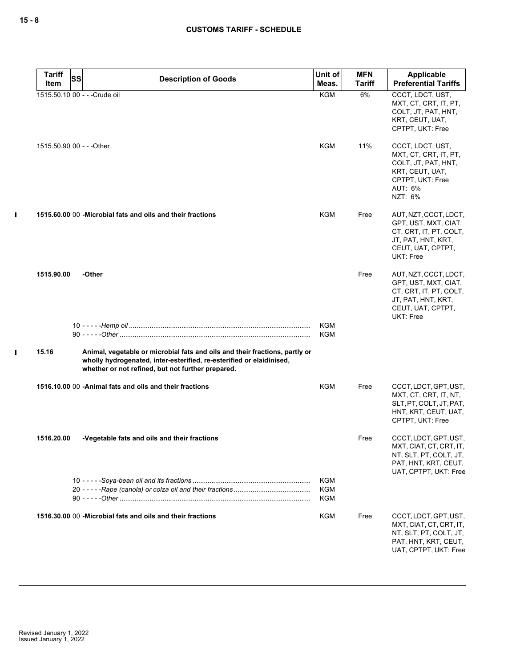$\mathbf I$ 

 $\mathbf I$ 

| <b>Tariff</b>             | <b>SS</b> |                                                                                                                                                                                                          | Unit of                  | <b>MFN</b>    | Applicable                                                                                                                      |
|---------------------------|-----------|----------------------------------------------------------------------------------------------------------------------------------------------------------------------------------------------------------|--------------------------|---------------|---------------------------------------------------------------------------------------------------------------------------------|
| Item                      |           | <b>Description of Goods</b>                                                                                                                                                                              | Meas.                    | <b>Tariff</b> | <b>Preferential Tariffs</b>                                                                                                     |
|                           |           | 1515.50.10 00 - - - Crude oil                                                                                                                                                                            | <b>KGM</b>               | 6%            | CCCT, LDCT, UST,<br>MXT, CT, CRT, IT, PT,<br>COLT, JT, PAT, HNT,<br>KRT, CEUT, UAT,<br>CPTPT, UKT: Free                         |
| 1515.50.90 00 - - - Other |           |                                                                                                                                                                                                          | <b>KGM</b>               | 11%           | CCCT, LDCT, UST,<br>MXT, CT, CRT, IT, PT,<br>COLT, JT, PAT, HNT,<br>KRT, CEUT, UAT,<br>CPTPT, UKT: Free<br>AUT: 6%<br>NZT: 6%   |
|                           |           | 1515,60,00 00 - Microbial fats and oils and their fractions                                                                                                                                              | <b>KGM</b>               | Free          | AUT, NZT, CCCT, LDCT,<br>GPT, UST, MXT, CIAT,<br>CT, CRT, IT, PT, COLT,<br>JT, PAT, HNT, KRT,<br>CEUT, UAT, CPTPT,<br>UKT: Free |
| 1515.90.00                |           | -Other                                                                                                                                                                                                   |                          | Free          | AUT, NZT, CCCT, LDCT,<br>GPT, UST, MXT, CIAT,<br>CT, CRT, IT, PT, COLT,<br>JT, PAT, HNT, KRT,<br>CEUT, UAT, CPTPT,<br>UKT: Free |
|                           |           |                                                                                                                                                                                                          | <b>KGM</b>               |               |                                                                                                                                 |
|                           |           |                                                                                                                                                                                                          | <b>KGM</b>               |               |                                                                                                                                 |
| 15.16                     |           | Animal, vegetable or microbial fats and oils and their fractions, partly or<br>wholly hydrogenated, inter-esterified, re-esterified or elaidinised,<br>whether or not refined, but not further prepared. |                          |               |                                                                                                                                 |
|                           |           | 1516.10.00 00 - Animal fats and oils and their fractions                                                                                                                                                 | KGM                      | Free          | CCCT, LDCT, GPT, UST,<br>MXT, CT, CRT, IT, NT,<br>SLT, PT, COLT, JT, PAT,<br>HNT, KRT, CEUT, UAT,<br>CPTPT, UKT: Free           |
| 1516.20.00                |           | -Vegetable fats and oils and their fractions                                                                                                                                                             |                          | Free          | CCCT, LDCT, GPT, UST,<br>MXT, CIAT, CT, CRT, IT,<br>NT, SLT, PT, COLT, JT,<br>PAT, HNT, KRT, CEUT,<br>UAT, CPTPT, UKT: Free     |
|                           |           |                                                                                                                                                                                                          | <b>KGM</b><br>KGM<br>KGM |               |                                                                                                                                 |
|                           |           | 1516.30.00 00 - Microbial fats and oils and their fractions                                                                                                                                              | <b>KGM</b>               | Free          | CCCT, LDCT, GPT, UST,<br>MXT, CIAT, CT, CRT, IT,<br>NT, SLT, PT, COLT, JT,<br>PAT, HNT, KRT, CEUT,<br>UAT, CPTPT, UKT: Free     |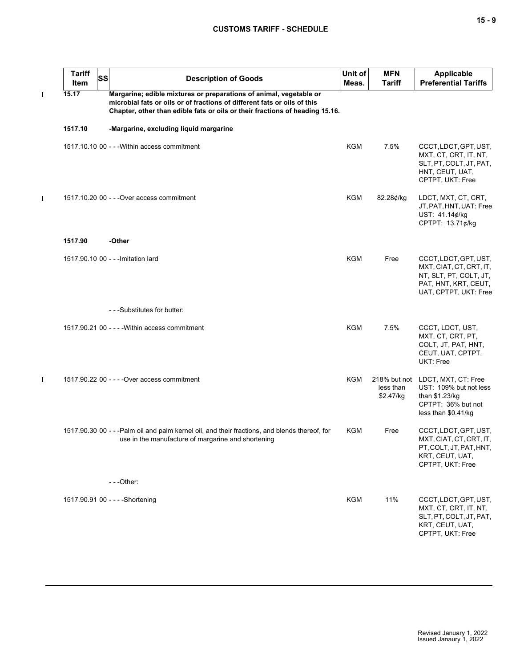## **CUSTOMS TARIFF - SCHEDULE**

 $\blacksquare$ 

 $\blacksquare$ 

 $\blacksquare$ 

| <b>Tariff</b><br>Item | <b>SS</b> | <b>Description of Goods</b>                                                                                                                                                                                                    | Unit of<br>Meas. | <b>MFN</b><br>Tariff   | <b>Applicable</b><br><b>Preferential Tariffs</b>                                                                            |
|-----------------------|-----------|--------------------------------------------------------------------------------------------------------------------------------------------------------------------------------------------------------------------------------|------------------|------------------------|-----------------------------------------------------------------------------------------------------------------------------|
| 15.17                 |           | Margarine; edible mixtures or preparations of animal, vegetable or<br>microbial fats or oils or of fractions of different fats or oils of this<br>Chapter, other than edible fats or oils or their fractions of heading 15.16. |                  |                        |                                                                                                                             |
| 1517.10               |           | -Margarine, excluding liquid margarine                                                                                                                                                                                         |                  |                        |                                                                                                                             |
|                       |           | 1517.10.10 00 - - - Within access commitment                                                                                                                                                                                   | <b>KGM</b>       | 7.5%                   | CCCT, LDCT, GPT, UST,<br>MXT, CT, CRT, IT, NT,<br>SLT, PT, COLT, JT, PAT,<br>HNT, CEUT, UAT,<br>CPTPT, UKT: Free            |
|                       |           | 1517.10.20 00 - - - Over access commitment                                                                                                                                                                                     | KGM              | 82.28¢/kg              | LDCT, MXT, CT, CRT,<br>JT, PAT, HNT, UAT: Free<br>UST: 41.14¢/kg<br>CPTPT: 13.71¢/kg                                        |
| 1517.90               |           | -Other                                                                                                                                                                                                                         |                  |                        |                                                                                                                             |
|                       |           | 1517.90.10 00 - - - Imitation lard                                                                                                                                                                                             | <b>KGM</b>       | Free                   | CCCT, LDCT, GPT, UST,<br>MXT, CIAT, CT, CRT, IT,<br>NT, SLT, PT, COLT, JT,<br>PAT, HNT, KRT, CEUT,<br>UAT, CPTPT, UKT: Free |
|                       |           | - - - Substitutes for butter:                                                                                                                                                                                                  |                  |                        |                                                                                                                             |
|                       |           | 1517.90.21 00 - - - - Within access commitment                                                                                                                                                                                 | <b>KGM</b>       | 7.5%                   | CCCT, LDCT, UST,<br>MXT, CT, CRT, PT,<br>COLT, JT, PAT, HNT,<br>CEUT, UAT, CPTPT,<br>UKT: Free                              |
|                       |           | 1517.90.22 00 - - - - Over access commitment                                                                                                                                                                                   | <b>KGM</b>       | less than<br>\$2.47/kg | 218% but not LDCT, MXT, CT: Free<br>UST: 109% but not less<br>than \$1.23/kg<br>CPTPT: 36% but not<br>less than \$0.41/kg   |
|                       |           | 1517.90.30 00 - - -Palm oil and palm kernel oil, and their fractions, and blends thereof, for<br>use in the manufacture of margarine and shortening                                                                            | KGM              | Free                   | CCCT, LDCT, GPT, UST,<br>MXT, CIAT, CT, CRT, IT,<br>PT, COLT, JT, PAT, HNT,<br>KRT, CEUT, UAT,<br>CPTPT, UKT: Free          |
|                       |           | $- -$ Other:                                                                                                                                                                                                                   |                  |                        |                                                                                                                             |
|                       |           | 1517.90.91 00 - - - - Shortening                                                                                                                                                                                               | <b>KGM</b>       | 11%                    | CCCT, LDCT, GPT, UST,<br>MXT, CT, CRT, IT, NT,<br>SLT, PT, COLT, JT, PAT,<br>KRT, CEUT, UAT,<br>CPTPT, UKT: Free            |